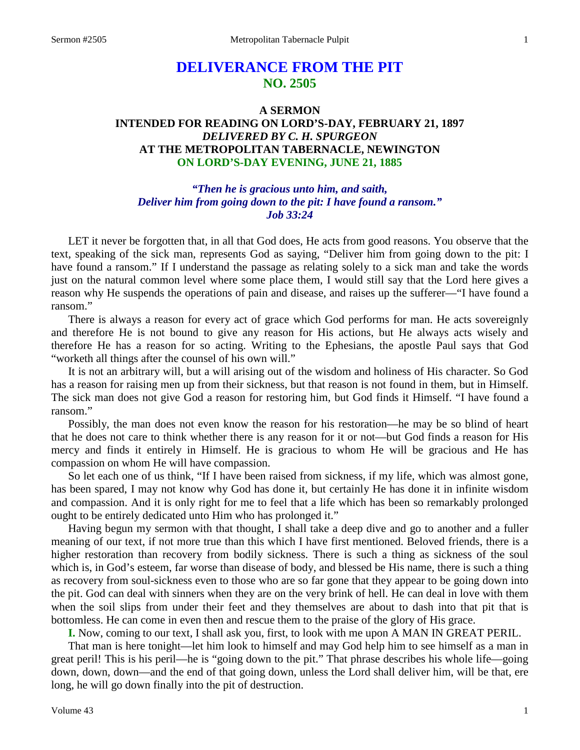# **DELIVERANCE FROM THE PIT NO. 2505**

# **A SERMON INTENDED FOR READING ON LORD'S-DAY, FEBRUARY 21, 1897** *DELIVERED BY C. H. SPURGEON* **AT THE METROPOLITAN TABERNACLE, NEWINGTON ON LORD'S-DAY EVENING, JUNE 21, 1885**

# *"Then he is gracious unto him, and saith, Deliver him from going down to the pit: I have found a ransom." Job 33:24*

LET it never be forgotten that, in all that God does, He acts from good reasons. You observe that the text, speaking of the sick man, represents God as saying, "Deliver him from going down to the pit: I have found a ransom." If I understand the passage as relating solely to a sick man and take the words just on the natural common level where some place them, I would still say that the Lord here gives a reason why He suspends the operations of pain and disease, and raises up the sufferer—"I have found a ransom."

There is always a reason for every act of grace which God performs for man. He acts sovereignly and therefore He is not bound to give any reason for His actions, but He always acts wisely and therefore He has a reason for so acting. Writing to the Ephesians, the apostle Paul says that God "worketh all things after the counsel of his own will."

It is not an arbitrary will, but a will arising out of the wisdom and holiness of His character. So God has a reason for raising men up from their sickness, but that reason is not found in them, but in Himself. The sick man does not give God a reason for restoring him, but God finds it Himself. "I have found a ransom."

Possibly, the man does not even know the reason for his restoration—he may be so blind of heart that he does not care to think whether there is any reason for it or not—but God finds a reason for His mercy and finds it entirely in Himself. He is gracious to whom He will be gracious and He has compassion on whom He will have compassion.

So let each one of us think, "If I have been raised from sickness, if my life, which was almost gone, has been spared, I may not know why God has done it, but certainly He has done it in infinite wisdom and compassion. And it is only right for me to feel that a life which has been so remarkably prolonged ought to be entirely dedicated unto Him who has prolonged it."

Having begun my sermon with that thought, I shall take a deep dive and go to another and a fuller meaning of our text, if not more true than this which I have first mentioned. Beloved friends, there is a higher restoration than recovery from bodily sickness. There is such a thing as sickness of the soul which is, in God's esteem, far worse than disease of body, and blessed be His name, there is such a thing as recovery from soul-sickness even to those who are so far gone that they appear to be going down into the pit. God can deal with sinners when they are on the very brink of hell. He can deal in love with them when the soil slips from under their feet and they themselves are about to dash into that pit that is bottomless. He can come in even then and rescue them to the praise of the glory of His grace.

**I.** Now, coming to our text, I shall ask you, first, to look with me upon A MAN IN GREAT PERIL.

That man is here tonight—let him look to himself and may God help him to see himself as a man in great peril! This is his peril—he is "going down to the pit." That phrase describes his whole life—going down, down, down—and the end of that going down, unless the Lord shall deliver him, will be that, ere long, he will go down finally into the pit of destruction.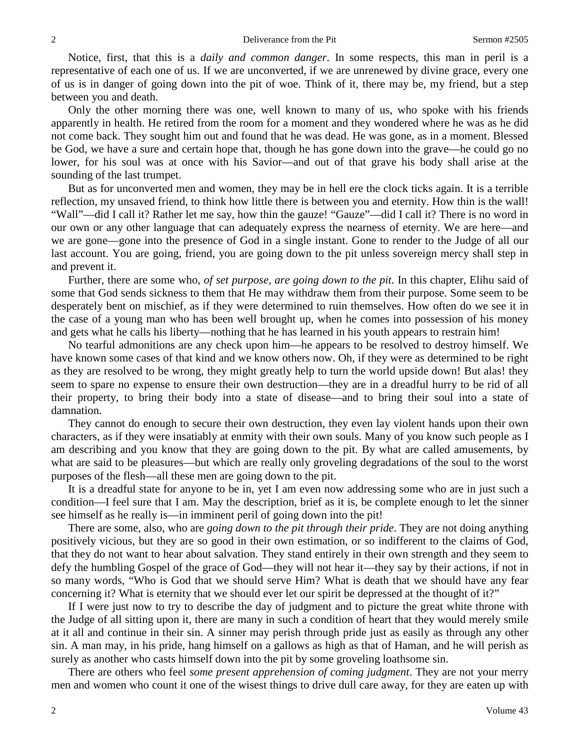Notice, first, that this is a *daily and common danger*. In some respects, this man in peril is a representative of each one of us. If we are unconverted, if we are unrenewed by divine grace, every one of us is in danger of going down into the pit of woe. Think of it, there may be, my friend, but a step between you and death.

Only the other morning there was one, well known to many of us, who spoke with his friends apparently in health. He retired from the room for a moment and they wondered where he was as he did not come back. They sought him out and found that he was dead. He was gone, as in a moment. Blessed be God, we have a sure and certain hope that, though he has gone down into the grave—he could go no lower, for his soul was at once with his Savior—and out of that grave his body shall arise at the sounding of the last trumpet.

But as for unconverted men and women, they may be in hell ere the clock ticks again. It is a terrible reflection, my unsaved friend, to think how little there is between you and eternity. How thin is the wall! "Wall"—did I call it? Rather let me say, how thin the gauze! "Gauze"—did I call it? There is no word in our own or any other language that can adequately express the nearness of eternity. We are here—and we are gone—gone into the presence of God in a single instant. Gone to render to the Judge of all our last account. You are going, friend, you are going down to the pit unless sovereign mercy shall step in and prevent it.

Further, there are some who, *of set purpose, are going down to the pit*. In this chapter, Elihu said of some that God sends sickness to them that He may withdraw them from their purpose. Some seem to be desperately bent on mischief, as if they were determined to ruin themselves. How often do we see it in the case of a young man who has been well brought up, when he comes into possession of his money and gets what he calls his liberty—nothing that he has learned in his youth appears to restrain him!

No tearful admonitions are any check upon him—he appears to be resolved to destroy himself. We have known some cases of that kind and we know others now. Oh, if they were as determined to be right as they are resolved to be wrong, they might greatly help to turn the world upside down! But alas! they seem to spare no expense to ensure their own destruction—they are in a dreadful hurry to be rid of all their property, to bring their body into a state of disease—and to bring their soul into a state of damnation.

They cannot do enough to secure their own destruction, they even lay violent hands upon their own characters, as if they were insatiably at enmity with their own souls. Many of you know such people as I am describing and you know that they are going down to the pit. By what are called amusements, by what are said to be pleasures—but which are really only groveling degradations of the soul to the worst purposes of the flesh—all these men are going down to the pit.

It is a dreadful state for anyone to be in, yet I am even now addressing some who are in just such a condition—I feel sure that I am. May the description, brief as it is, be complete enough to let the sinner see himself as he really is—in imminent peril of going down into the pit!

There are some, also, who are *going down to the pit through their pride*. They are not doing anything positively vicious, but they are so good in their own estimation, or so indifferent to the claims of God, that they do not want to hear about salvation. They stand entirely in their own strength and they seem to defy the humbling Gospel of the grace of God—they will not hear it—they say by their actions, if not in so many words, "Who is God that we should serve Him? What is death that we should have any fear concerning it? What is eternity that we should ever let our spirit be depressed at the thought of it?"

If I were just now to try to describe the day of judgment and to picture the great white throne with the Judge of all sitting upon it, there are many in such a condition of heart that they would merely smile at it all and continue in their sin. A sinner may perish through pride just as easily as through any other sin. A man may, in his pride, hang himself on a gallows as high as that of Haman, and he will perish as surely as another who casts himself down into the pit by some groveling loathsome sin.

There are others who feel *some present apprehension of coming judgment*. They are not your merry men and women who count it one of the wisest things to drive dull care away, for they are eaten up with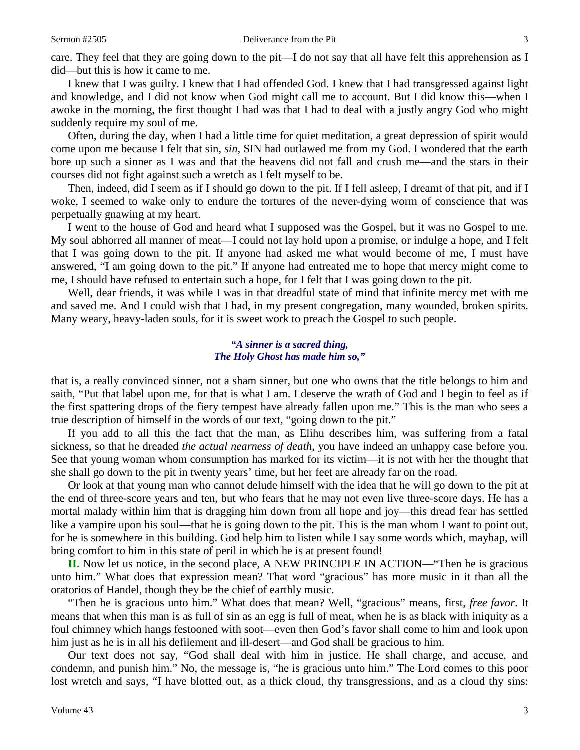care. They feel that they are going down to the pit—I do not say that all have felt this apprehension as I did—but this is how it came to me.

I knew that I was guilty. I knew that I had offended God. I knew that I had transgressed against light and knowledge, and I did not know when God might call me to account. But I did know this—when I awoke in the morning, the first thought I had was that I had to deal with a justly angry God who might suddenly require my soul of me.

Often, during the day, when I had a little time for quiet meditation, a great depression of spirit would come upon me because I felt that sin, *sin*, SIN had outlawed me from my God. I wondered that the earth bore up such a sinner as I was and that the heavens did not fall and crush me—and the stars in their courses did not fight against such a wretch as I felt myself to be.

Then, indeed, did I seem as if I should go down to the pit. If I fell asleep, I dreamt of that pit, and if I woke, I seemed to wake only to endure the tortures of the never-dying worm of conscience that was perpetually gnawing at my heart.

I went to the house of God and heard what I supposed was the Gospel, but it was no Gospel to me. My soul abhorred all manner of meat—I could not lay hold upon a promise, or indulge a hope, and I felt that I was going down to the pit. If anyone had asked me what would become of me, I must have answered, "I am going down to the pit." If anyone had entreated me to hope that mercy might come to me, I should have refused to entertain such a hope, for I felt that I was going down to the pit.

Well, dear friends, it was while I was in that dreadful state of mind that infinite mercy met with me and saved me. And I could wish that I had, in my present congregation, many wounded, broken spirits. Many weary, heavy-laden souls, for it is sweet work to preach the Gospel to such people.

#### *"A sinner is a sacred thing, The Holy Ghost has made him so,"*

that is, a really convinced sinner, not a sham sinner, but one who owns that the title belongs to him and saith, "Put that label upon me, for that is what I am. I deserve the wrath of God and I begin to feel as if the first spattering drops of the fiery tempest have already fallen upon me." This is the man who sees a true description of himself in the words of our text, "going down to the pit."

If you add to all this the fact that the man, as Elihu describes him, was suffering from a fatal sickness, so that he dreaded *the actual nearness of death*, you have indeed an unhappy case before you. See that young woman whom consumption has marked for its victim—it is not with her the thought that she shall go down to the pit in twenty years' time, but her feet are already far on the road.

Or look at that young man who cannot delude himself with the idea that he will go down to the pit at the end of three-score years and ten, but who fears that he may not even live three-score days. He has a mortal malady within him that is dragging him down from all hope and joy—this dread fear has settled like a vampire upon his soul—that he is going down to the pit. This is the man whom I want to point out, for he is somewhere in this building. God help him to listen while I say some words which, mayhap, will bring comfort to him in this state of peril in which he is at present found!

**II.** Now let us notice, in the second place, A NEW PRINCIPLE IN ACTION—"Then he is gracious unto him." What does that expression mean? That word "gracious" has more music in it than all the oratorios of Handel, though they be the chief of earthly music.

"Then he is gracious unto him." What does that mean? Well, "gracious" means, first, *free favor*. It means that when this man is as full of sin as an egg is full of meat, when he is as black with iniquity as a foul chimney which hangs festooned with soot—even then God's favor shall come to him and look upon him just as he is in all his defilement and ill-desert—and God shall be gracious to him.

Our text does not say, "God shall deal with him in justice. He shall charge, and accuse, and condemn, and punish him." No, the message is, "he is gracious unto him." The Lord comes to this poor lost wretch and says, "I have blotted out, as a thick cloud, thy transgressions, and as a cloud thy sins: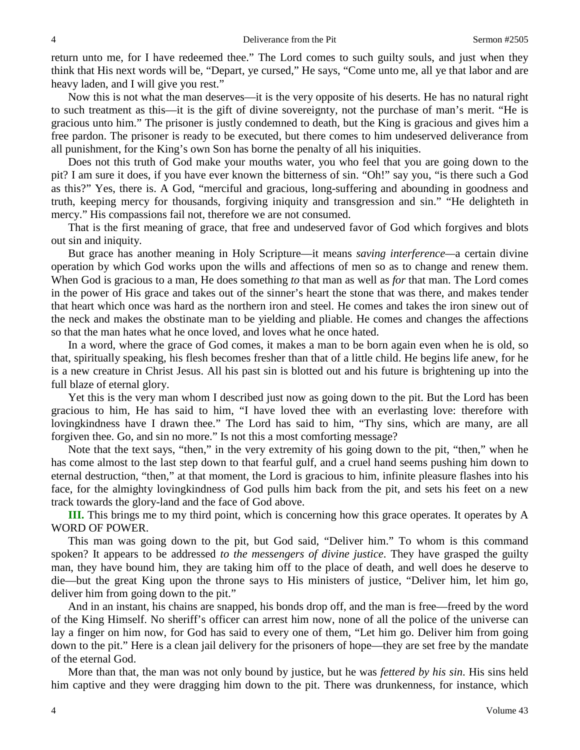return unto me, for I have redeemed thee." The Lord comes to such guilty souls, and just when they think that His next words will be, "Depart, ye cursed," He says, "Come unto me, all ye that labor and are heavy laden, and I will give you rest."

Now this is not what the man deserves—it is the very opposite of his deserts. He has no natural right to such treatment as this—it is the gift of divine sovereignty, not the purchase of man's merit. "He is gracious unto him." The prisoner is justly condemned to death, but the King is gracious and gives him a free pardon. The prisoner is ready to be executed, but there comes to him undeserved deliverance from all punishment, for the King's own Son has borne the penalty of all his iniquities.

Does not this truth of God make your mouths water, you who feel that you are going down to the pit? I am sure it does, if you have ever known the bitterness of sin. "Oh!" say you, "is there such a God as this?" Yes, there is. A God, "merciful and gracious, long-suffering and abounding in goodness and truth, keeping mercy for thousands, forgiving iniquity and transgression and sin." "He delighteth in mercy." His compassions fail not, therefore we are not consumed.

That is the first meaning of grace, that free and undeserved favor of God which forgives and blots out sin and iniquity.

But grace has another meaning in Holy Scripture—it means *saving interference—*a certain divine operation by which God works upon the wills and affections of men so as to change and renew them. When God is gracious to a man, He does something *to* that man as well as *for* that man. The Lord comes in the power of His grace and takes out of the sinner's heart the stone that was there, and makes tender that heart which once was hard as the northern iron and steel. He comes and takes the iron sinew out of the neck and makes the obstinate man to be yielding and pliable. He comes and changes the affections so that the man hates what he once loved, and loves what he once hated.

In a word, where the grace of God comes, it makes a man to be born again even when he is old, so that, spiritually speaking, his flesh becomes fresher than that of a little child. He begins life anew, for he is a new creature in Christ Jesus. All his past sin is blotted out and his future is brightening up into the full blaze of eternal glory.

Yet this is the very man whom I described just now as going down to the pit. But the Lord has been gracious to him, He has said to him, "I have loved thee with an everlasting love: therefore with lovingkindness have I drawn thee." The Lord has said to him, "Thy sins, which are many, are all forgiven thee. Go, and sin no more." Is not this a most comforting message?

Note that the text says, "then," in the very extremity of his going down to the pit, "then," when he has come almost to the last step down to that fearful gulf, and a cruel hand seems pushing him down to eternal destruction, "then," at that moment, the Lord is gracious to him, infinite pleasure flashes into his face, for the almighty lovingkindness of God pulls him back from the pit, and sets his feet on a new track towards the glory-land and the face of God above.

**III.** This brings me to my third point, which is concerning how this grace operates. It operates by A WORD OF POWER.

This man was going down to the pit, but God said, "Deliver him." To whom is this command spoken? It appears to be addressed *to the messengers of divine justice*. They have grasped the guilty man, they have bound him, they are taking him off to the place of death, and well does he deserve to die—but the great King upon the throne says to His ministers of justice, "Deliver him, let him go, deliver him from going down to the pit."

And in an instant, his chains are snapped, his bonds drop off, and the man is free—freed by the word of the King Himself. No sheriff's officer can arrest him now, none of all the police of the universe can lay a finger on him now, for God has said to every one of them, "Let him go. Deliver him from going down to the pit." Here is a clean jail delivery for the prisoners of hope—they are set free by the mandate of the eternal God.

More than that, the man was not only bound by justice, but he was *fettered by his sin*. His sins held him captive and they were dragging him down to the pit. There was drunkenness, for instance, which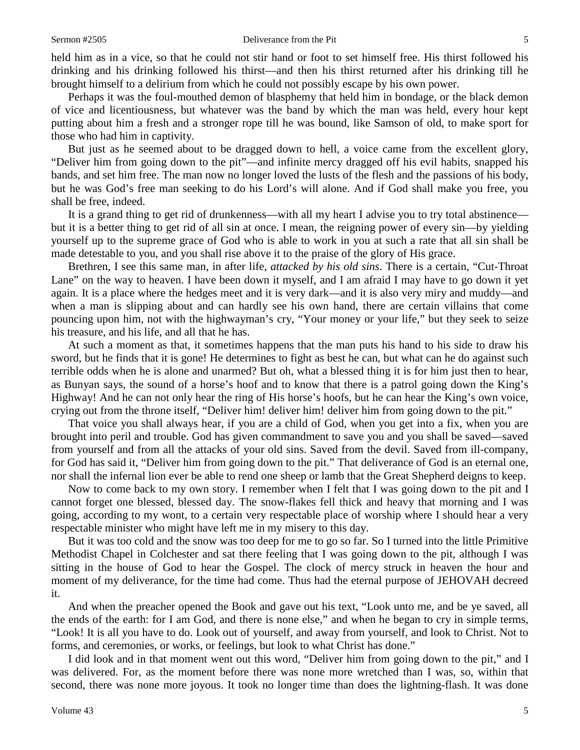held him as in a vice, so that he could not stir hand or foot to set himself free. His thirst followed his drinking and his drinking followed his thirst—and then his thirst returned after his drinking till he brought himself to a delirium from which he could not possibly escape by his own power.

Perhaps it was the foul-mouthed demon of blasphemy that held him in bondage, or the black demon of vice and licentiousness, but whatever was the band by which the man was held, every hour kept putting about him a fresh and a stronger rope till he was bound, like Samson of old, to make sport for those who had him in captivity.

But just as he seemed about to be dragged down to hell, a voice came from the excellent glory, "Deliver him from going down to the pit"—and infinite mercy dragged off his evil habits, snapped his bands, and set him free. The man now no longer loved the lusts of the flesh and the passions of his body, but he was God's free man seeking to do his Lord's will alone. And if God shall make you free, you shall be free, indeed.

It is a grand thing to get rid of drunkenness—with all my heart I advise you to try total abstinence but it is a better thing to get rid of all sin at once. I mean, the reigning power of every sin—by yielding yourself up to the supreme grace of God who is able to work in you at such a rate that all sin shall be made detestable to you, and you shall rise above it to the praise of the glory of His grace.

Brethren, I see this same man, in after life, *attacked by his old sins*. There is a certain, "Cut-Throat Lane" on the way to heaven. I have been down it myself, and I am afraid I may have to go down it yet again. It is a place where the hedges meet and it is very dark—and it is also very miry and muddy—and when a man is slipping about and can hardly see his own hand, there are certain villains that come pouncing upon him, not with the highwayman's cry, "Your money or your life," but they seek to seize his treasure, and his life, and all that he has.

At such a moment as that, it sometimes happens that the man puts his hand to his side to draw his sword, but he finds that it is gone! He determines to fight as best he can, but what can he do against such terrible odds when he is alone and unarmed? But oh, what a blessed thing it is for him just then to hear, as Bunyan says, the sound of a horse's hoof and to know that there is a patrol going down the King's Highway! And he can not only hear the ring of His horse's hoofs, but he can hear the King's own voice, crying out from the throne itself, "Deliver him! deliver him! deliver him from going down to the pit."

That voice you shall always hear, if you are a child of God, when you get into a fix, when you are brought into peril and trouble. God has given commandment to save you and you shall be saved—saved from yourself and from all the attacks of your old sins. Saved from the devil. Saved from ill-company, for God has said it, "Deliver him from going down to the pit." That deliverance of God is an eternal one, nor shall the infernal lion ever be able to rend one sheep or lamb that the Great Shepherd deigns to keep.

Now to come back to my own story. I remember when I felt that I was going down to the pit and I cannot forget one blessed, blessed day. The snow-flakes fell thick and heavy that morning and I was going, according to my wont, to a certain very respectable place of worship where I should hear a very respectable minister who might have left me in my misery to this day.

But it was too cold and the snow was too deep for me to go so far. So I turned into the little Primitive Methodist Chapel in Colchester and sat there feeling that I was going down to the pit, although I was sitting in the house of God to hear the Gospel. The clock of mercy struck in heaven the hour and moment of my deliverance, for the time had come. Thus had the eternal purpose of JEHOVAH decreed it.

And when the preacher opened the Book and gave out his text, "Look unto me, and be ye saved, all the ends of the earth: for I am God, and there is none else," and when he began to cry in simple terms, "Look! It is all you have to do. Look out of yourself, and away from yourself, and look to Christ. Not to forms, and ceremonies, or works, or feelings, but look to what Christ has done."

I did look and in that moment went out this word, "Deliver him from going down to the pit," and I was delivered. For, as the moment before there was none more wretched than I was, so, within that second, there was none more joyous. It took no longer time than does the lightning-flash. It was done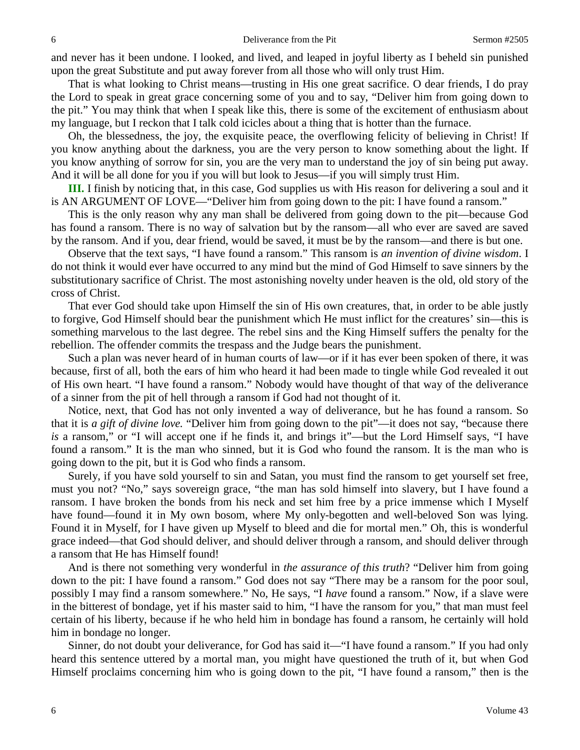and never has it been undone. I looked, and lived, and leaped in joyful liberty as I beheld sin punished upon the great Substitute and put away forever from all those who will only trust Him.

That is what looking to Christ means—trusting in His one great sacrifice. O dear friends, I do pray the Lord to speak in great grace concerning some of you and to say, "Deliver him from going down to the pit." You may think that when I speak like this, there is some of the excitement of enthusiasm about my language, but I reckon that I talk cold icicles about a thing that is hotter than the furnace.

Oh, the blessedness, the joy, the exquisite peace, the overflowing felicity of believing in Christ! If you know anything about the darkness, you are the very person to know something about the light. If you know anything of sorrow for sin, you are the very man to understand the joy of sin being put away. And it will be all done for you if you will but look to Jesus—if you will simply trust Him.

**III.** I finish by noticing that, in this case, God supplies us with His reason for delivering a soul and it is AN ARGUMENT OF LOVE—"Deliver him from going down to the pit: I have found a ransom."

This is the only reason why any man shall be delivered from going down to the pit—because God has found a ransom. There is no way of salvation but by the ransom—all who ever are saved are saved by the ransom. And if you, dear friend, would be saved, it must be by the ransom—and there is but one.

Observe that the text says, "I have found a ransom." This ransom is *an invention of divine wisdom*. I do not think it would ever have occurred to any mind but the mind of God Himself to save sinners by the substitutionary sacrifice of Christ. The most astonishing novelty under heaven is the old, old story of the cross of Christ.

That ever God should take upon Himself the sin of His own creatures, that, in order to be able justly to forgive, God Himself should bear the punishment which He must inflict for the creatures' sin—this is something marvelous to the last degree. The rebel sins and the King Himself suffers the penalty for the rebellion. The offender commits the trespass and the Judge bears the punishment.

Such a plan was never heard of in human courts of law—or if it has ever been spoken of there, it was because, first of all, both the ears of him who heard it had been made to tingle while God revealed it out of His own heart. "I have found a ransom." Nobody would have thought of that way of the deliverance of a sinner from the pit of hell through a ransom if God had not thought of it.

Notice, next, that God has not only invented a way of deliverance, but he has found a ransom. So that it is *a gift of divine love.* "Deliver him from going down to the pit"—it does not say, "because there *is* a ransom," or "I will accept one if he finds it, and brings it"—but the Lord Himself says, "I have found a ransom." It is the man who sinned, but it is God who found the ransom. It is the man who is going down to the pit, but it is God who finds a ransom.

Surely, if you have sold yourself to sin and Satan, you must find the ransom to get yourself set free, must you not? "No," says sovereign grace, "the man has sold himself into slavery, but I have found a ransom. I have broken the bonds from his neck and set him free by a price immense which I Myself have found—found it in My own bosom, where My only-begotten and well-beloved Son was lying. Found it in Myself, for I have given up Myself to bleed and die for mortal men." Oh, this is wonderful grace indeed—that God should deliver, and should deliver through a ransom, and should deliver through a ransom that He has Himself found!

And is there not something very wonderful in *the assurance of this truth*? "Deliver him from going down to the pit: I have found a ransom." God does not say "There may be a ransom for the poor soul, possibly I may find a ransom somewhere." No, He says, "I *have* found a ransom." Now, if a slave were in the bitterest of bondage, yet if his master said to him, "I have the ransom for you," that man must feel certain of his liberty, because if he who held him in bondage has found a ransom, he certainly will hold him in bondage no longer.

Sinner, do not doubt your deliverance, for God has said it—"I have found a ransom." If you had only heard this sentence uttered by a mortal man, you might have questioned the truth of it, but when God Himself proclaims concerning him who is going down to the pit, "I have found a ransom," then is the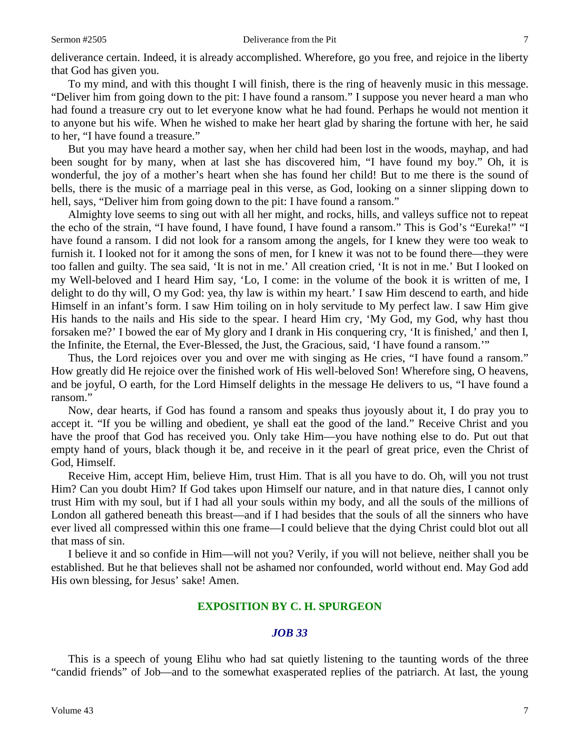deliverance certain. Indeed, it is already accomplished. Wherefore, go you free, and rejoice in the liberty that God has given you.

To my mind, and with this thought I will finish, there is the ring of heavenly music in this message. "Deliver him from going down to the pit: I have found a ransom." I suppose you never heard a man who had found a treasure cry out to let everyone know what he had found. Perhaps he would not mention it to anyone but his wife. When he wished to make her heart glad by sharing the fortune with her, he said to her, "I have found a treasure."

But you may have heard a mother say, when her child had been lost in the woods, mayhap, and had been sought for by many, when at last she has discovered him, "I have found my boy." Oh, it is wonderful, the joy of a mother's heart when she has found her child! But to me there is the sound of bells, there is the music of a marriage peal in this verse, as God, looking on a sinner slipping down to hell, says, "Deliver him from going down to the pit: I have found a ransom."

Almighty love seems to sing out with all her might, and rocks, hills, and valleys suffice not to repeat the echo of the strain, "I have found, I have found, I have found a ransom." This is God's "Eureka!" "I have found a ransom. I did not look for a ransom among the angels, for I knew they were too weak to furnish it. I looked not for it among the sons of men, for I knew it was not to be found there—they were too fallen and guilty. The sea said, 'It is not in me.' All creation cried, 'It is not in me.' But I looked on my Well-beloved and I heard Him say, 'Lo, I come: in the volume of the book it is written of me, I delight to do thy will, O my God: yea, thy law is within my heart.' I saw Him descend to earth, and hide Himself in an infant's form. I saw Him toiling on in holy servitude to My perfect law. I saw Him give His hands to the nails and His side to the spear. I heard Him cry, 'My God, my God, why hast thou forsaken me?' I bowed the ear of My glory and I drank in His conquering cry, 'It is finished,' and then I, the Infinite, the Eternal, the Ever-Blessed, the Just, the Gracious, said, 'I have found a ransom.'"

Thus, the Lord rejoices over you and over me with singing as He cries, "I have found a ransom." How greatly did He rejoice over the finished work of His well-beloved Son! Wherefore sing, O heavens, and be joyful, O earth, for the Lord Himself delights in the message He delivers to us, "I have found a ransom."

Now, dear hearts, if God has found a ransom and speaks thus joyously about it, I do pray you to accept it. "If you be willing and obedient, ye shall eat the good of the land." Receive Christ and you have the proof that God has received you. Only take Him—you have nothing else to do. Put out that empty hand of yours, black though it be, and receive in it the pearl of great price, even the Christ of God, Himself.

Receive Him, accept Him, believe Him, trust Him. That is all you have to do. Oh, will you not trust Him? Can you doubt Him? If God takes upon Himself our nature, and in that nature dies, I cannot only trust Him with my soul, but if I had all your souls within my body, and all the souls of the millions of London all gathered beneath this breast—and if I had besides that the souls of all the sinners who have ever lived all compressed within this one frame—I could believe that the dying Christ could blot out all that mass of sin.

I believe it and so confide in Him—will not you? Verily, if you will not believe, neither shall you be established. But he that believes shall not be ashamed nor confounded, world without end. May God add His own blessing, for Jesus' sake! Amen.

### **EXPOSITION BY C. H. SPURGEON**

#### *JOB 33*

This is a speech of young Elihu who had sat quietly listening to the taunting words of the three "candid friends" of Job—and to the somewhat exasperated replies of the patriarch. At last, the young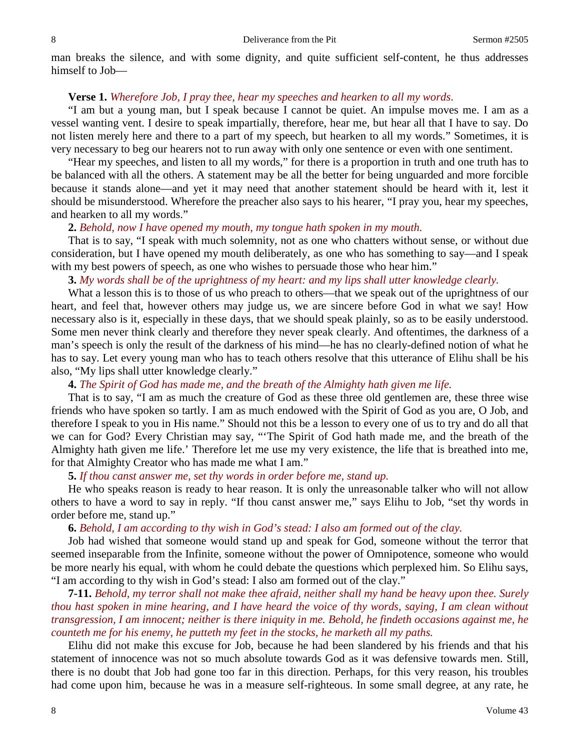man breaks the silence, and with some dignity, and quite sufficient self-content, he thus addresses himself to Job—

#### **Verse 1.** *Wherefore Job, I pray thee, hear my speeches and hearken to all my words*.

"I am but a young man, but I speak because I cannot be quiet. An impulse moves me. I am as a vessel wanting vent. I desire to speak impartially, therefore, hear me, but hear all that I have to say. Do not listen merely here and there to a part of my speech, but hearken to all my words." Sometimes, it is very necessary to beg our hearers not to run away with only one sentence or even with one sentiment.

"Hear my speeches, and listen to all my words," for there is a proportion in truth and one truth has to be balanced with all the others. A statement may be all the better for being unguarded and more forcible because it stands alone—and yet it may need that another statement should be heard with it, lest it should be misunderstood. Wherefore the preacher also says to his hearer, "I pray you, hear my speeches, and hearken to all my words."

#### **2.** *Behold, now I have opened my mouth, my tongue hath spoken in my mouth.*

That is to say, "I speak with much solemnity, not as one who chatters without sense, or without due consideration, but I have opened my mouth deliberately, as one who has something to say—and I speak with my best powers of speech, as one who wishes to persuade those who hear him."

# **3.** *My words shall be of the uprightness of my heart: and my lips shall utter knowledge clearly.*

What a lesson this is to those of us who preach to others—that we speak out of the uprightness of our heart, and feel that, however others may judge us, we are sincere before God in what we say! How necessary also is it, especially in these days, that we should speak plainly, so as to be easily understood. Some men never think clearly and therefore they never speak clearly. And oftentimes, the darkness of a man's speech is only the result of the darkness of his mind—he has no clearly-defined notion of what he has to say. Let every young man who has to teach others resolve that this utterance of Elihu shall be his also, "My lips shall utter knowledge clearly."

# **4.** *The Spirit of God has made me, and the breath of the Almighty hath given me life.*

That is to say, "I am as much the creature of God as these three old gentlemen are, these three wise friends who have spoken so tartly. I am as much endowed with the Spirit of God as you are, O Job, and therefore I speak to you in His name." Should not this be a lesson to every one of us to try and do all that we can for God? Every Christian may say, "'The Spirit of God hath made me, and the breath of the Almighty hath given me life.' Therefore let me use my very existence, the life that is breathed into me, for that Almighty Creator who has made me what I am."

### **5.** *If thou canst answer me, set thy words in order before me, stand up.*

He who speaks reason is ready to hear reason. It is only the unreasonable talker who will not allow others to have a word to say in reply. "If thou canst answer me," says Elihu to Job, "set thy words in order before me, stand up."

## **6.** *Behold, I am according to thy wish in God's stead: I also am formed out of the clay.*

Job had wished that someone would stand up and speak for God, someone without the terror that seemed inseparable from the Infinite, someone without the power of Omnipotence, someone who would be more nearly his equal, with whom he could debate the questions which perplexed him. So Elihu says, "I am according to thy wish in God's stead: I also am formed out of the clay."

**7-11.** *Behold, my terror shall not make thee afraid, neither shall my hand be heavy upon thee. Surely thou hast spoken in mine hearing, and I have heard the voice of thy words, saying, I am clean without transgression, I am innocent; neither is there iniquity in me. Behold, he findeth occasions against me, he counteth me for his enemy, he putteth my feet in the stocks, he marketh all my paths.*

Elihu did not make this excuse for Job, because he had been slandered by his friends and that his statement of innocence was not so much absolute towards God as it was defensive towards men. Still, there is no doubt that Job had gone too far in this direction. Perhaps, for this very reason, his troubles had come upon him, because he was in a measure self-righteous. In some small degree, at any rate, he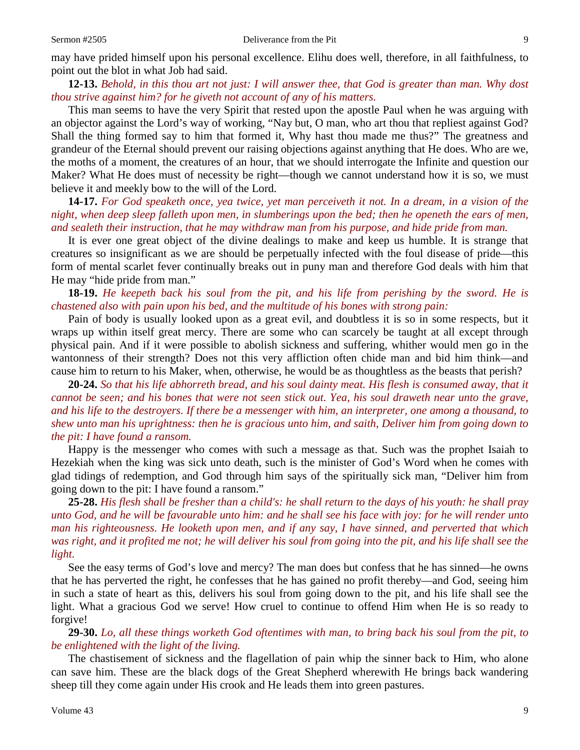may have prided himself upon his personal excellence. Elihu does well, therefore, in all faithfulness, to point out the blot in what Job had said.

**12-13.** *Behold, in this thou art not just: I will answer thee, that God is greater than man. Why dost thou strive against him? for he giveth not account of any of his matters.* 

This man seems to have the very Spirit that rested upon the apostle Paul when he was arguing with an objector against the Lord's way of working, "Nay but, O man, who art thou that repliest against God? Shall the thing formed say to him that formed it, Why hast thou made me thus?" The greatness and grandeur of the Eternal should prevent our raising objections against anything that He does. Who are we, the moths of a moment, the creatures of an hour, that we should interrogate the Infinite and question our Maker? What He does must of necessity be right—though we cannot understand how it is so, we must believe it and meekly bow to the will of the Lord.

**14-17.** *For God speaketh once, yea twice, yet man perceiveth it not. In a dream, in a vision of the night, when deep sleep falleth upon men, in slumberings upon the bed; then he openeth the ears of men, and sealeth their instruction, that he may withdraw man from his purpose, and hide pride from man.*

It is ever one great object of the divine dealings to make and keep us humble. It is strange that creatures so insignificant as we are should be perpetually infected with the foul disease of pride—this form of mental scarlet fever continually breaks out in puny man and therefore God deals with him that He may "hide pride from man."

**18-19.** *He keepeth back his soul from the pit, and his life from perishing by the sword. He is chastened also with pain upon his bed, and the multitude of his bones with strong pain:*

Pain of body is usually looked upon as a great evil, and doubtless it is so in some respects, but it wraps up within itself great mercy. There are some who can scarcely be taught at all except through physical pain. And if it were possible to abolish sickness and suffering, whither would men go in the wantonness of their strength? Does not this very affliction often chide man and bid him think—and cause him to return to his Maker, when, otherwise, he would be as thoughtless as the beasts that perish?

**20-24.** *So that his life abhorreth bread, and his soul dainty meat. His flesh is consumed away, that it cannot be seen; and his bones that were not seen stick out. Yea, his soul draweth near unto the grave, and his life to the destroyers. If there be a messenger with him, an interpreter, one among a thousand, to shew unto man his uprightness: then he is gracious unto him, and saith, Deliver him from going down to the pit: I have found a ransom.*

Happy is the messenger who comes with such a message as that. Such was the prophet Isaiah to Hezekiah when the king was sick unto death, such is the minister of God's Word when he comes with glad tidings of redemption, and God through him says of the spiritually sick man, "Deliver him from going down to the pit: I have found a ransom."

**25-28.** *His flesh shall be fresher than a child's: he shall return to the days of his youth: he shall pray unto God, and he will be favourable unto him: and he shall see his face with joy: for he will render unto man his righteousness. He looketh upon men, and if any say, I have sinned, and perverted that which was right, and it profited me not; he will deliver his soul from going into the pit, and his life shall see the light.*

See the easy terms of God's love and mercy? The man does but confess that he has sinned—he owns that he has perverted the right, he confesses that he has gained no profit thereby—and God, seeing him in such a state of heart as this, delivers his soul from going down to the pit, and his life shall see the light. What a gracious God we serve! How cruel to continue to offend Him when He is so ready to forgive!

**29-30.** *Lo, all these things worketh God oftentimes with man, to bring back his soul from the pit, to be enlightened with the light of the living.* 

The chastisement of sickness and the flagellation of pain whip the sinner back to Him, who alone can save him. These are the black dogs of the Great Shepherd wherewith He brings back wandering sheep till they come again under His crook and He leads them into green pastures.